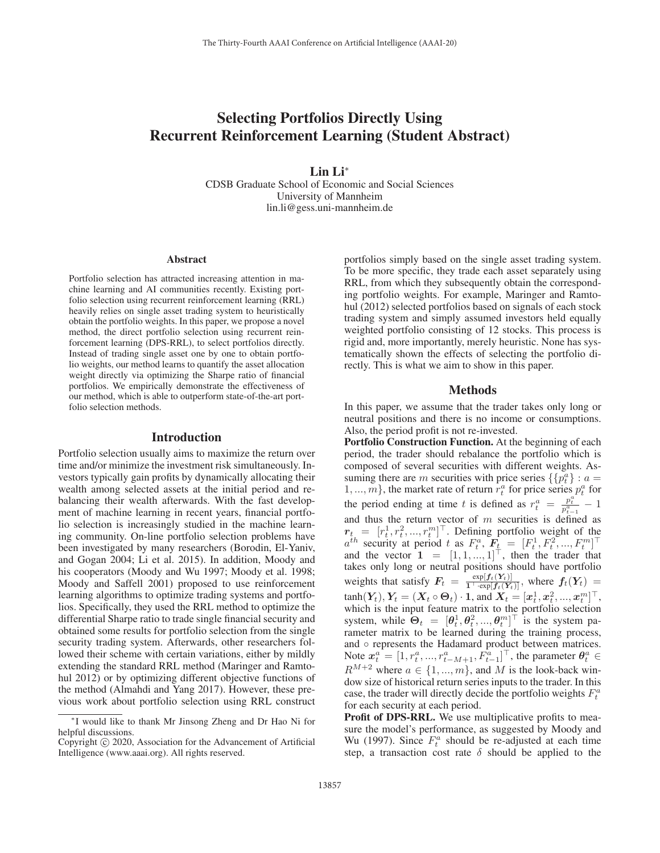# Selecting Portfolios Directly Using Recurrent Reinforcement Learning (Student Abstract)

Lin Li<sup>∗</sup>

CDSB Graduate School of Economic and Social Sciences University of Mannheim lin.li@gess.uni-mannheim.de

#### Abstract

Portfolio selection has attracted increasing attention in machine learning and AI communities recently. Existing portfolio selection using recurrent reinforcement learning (RRL) heavily relies on single asset trading system to heuristically obtain the portfolio weights. In this paper, we propose a novel method, the direct portfolio selection using recurrent reinforcement learning (DPS-RRL), to select portfolios directly. Instead of trading single asset one by one to obtain portfolio weights, our method learns to quantify the asset allocation weight directly via optimizing the Sharpe ratio of financial portfolios. We empirically demonstrate the effectiveness of our method, which is able to outperform state-of-the-art portfolio selection methods.

#### Introduction

Portfolio selection usually aims to maximize the return over time and/or minimize the investment risk simultaneously. Investors typically gain profits by dynamically allocating their wealth among selected assets at the initial period and rebalancing their wealth afterwards. With the fast development of machine learning in recent years, financial portfolio selection is increasingly studied in the machine learning community. On-line portfolio selection problems have been investigated by many researchers (Borodin, El-Yaniv, and Gogan 2004; Li et al. 2015). In addition, Moody and his cooperators (Moody and Wu 1997; Moody et al. 1998; Moody and Saffell 2001) proposed to use reinforcement learning algorithms to optimize trading systems and portfolios. Specifically, they used the RRL method to optimize the differential Sharpe ratio to trade single financial security and obtained some results for portfolio selection from the single security trading system. Afterwards, other researchers followed their scheme with certain variations, either by mildly extending the standard RRL method (Maringer and Ramtohul 2012) or by optimizing different objective functions of the method (Almahdi and Yang 2017). However, these previous work about portfolio selection using RRL construct

portfolios simply based on the single asset trading system. To be more specific, they trade each asset separately using RRL, from which they subsequently obtain the corresponding portfolio weights. For example, Maringer and Ramtohul (2012) selected portfolios based on signals of each stock trading system and simply assumed investors held equally weighted portfolio consisting of 12 stocks. This process is rigid and, more importantly, merely heuristic. None has systematically shown the effects of selecting the portfolio directly. This is what we aim to show in this paper.

# Methods

In this paper, we assume that the trader takes only long or neutral positions and there is no income or consumptions. Also, the period profit is not re-invested.

Portfolio Construction Function. At the beginning of each period, the trader should rebalance the portfolio which is composed of several securities with different weights. Assuming there are m securities with price series  $\{\{p_t^a\} : a =$  $1, ..., m$ , the market rate of return  $r_t^a$  for price series  $p_t^a$  for the period ending at time t is defined as  $r_t^a = \frac{p_t^a}{p_t^a} - 1$ and thus the return vector of m securities is defined as  $r_t = [r_t^1, r_t^2, ..., r_t^m]^\top$ . Defining portfolio weight of the  $a^{th}$  security at period t as  $F_t^a$ ,  $F_t = [F_t^1, F_t^2, ..., F_t^m]^\top$ <br>and the vector  $\mathbf{1} = [1, 1, ..., 1]^\top$ , then the trader that takes only long or neutral positions should have portfolio weights that satisfy  $F_t = \frac{\exp[f_t(Y_t)]}{1 + \exp[f_t(Y_t)]}$ , where  $f_t(Y_t) =$  $tanh(Y_t), Y_t = (X_t \circ \Theta_t) \cdot 1, \text{ and } X_t = [x_t^1, x_t^2, ..., x_t^m]^\top,$ which is the input feature matrix to the portfolio selection system, while  $\Theta_t = [\theta_t^1, \theta_t^2, ..., \theta_t^m]^\top$  is the system parameter matrix to be learned during the training process, and ∘ represents the Hadamard product between matrices. Note  $x_t^a = [1, r_t^a, ..., r_{t-M+1}^a, F_{t-1}^a]^\top$ , the parameter  $\theta_t^a \in$  $R^{M+2}$  where  $a \in \{1, ..., m\}$ , and M is the look-back window size of historical return series inputs to the trader. In this case, the trader will directly decide the portfolio weights  $F_t^a$ for each security at each period.

Profit of DPS-RRL. We use multiplicative profits to measure the model's performance, as suggested by Moody and Wu (1997). Since  $F_t^a$  should be re-adjusted at each time step, a transaction cost rate  $\delta$  should be applied to the

<sup>∗</sup>I would like to thank Mr Jinsong Zheng and Dr Hao Ni for helpful discussions.

Copyright  $\odot$  2020, Association for the Advancement of Artificial Intelligence (www.aaai.org). All rights reserved.